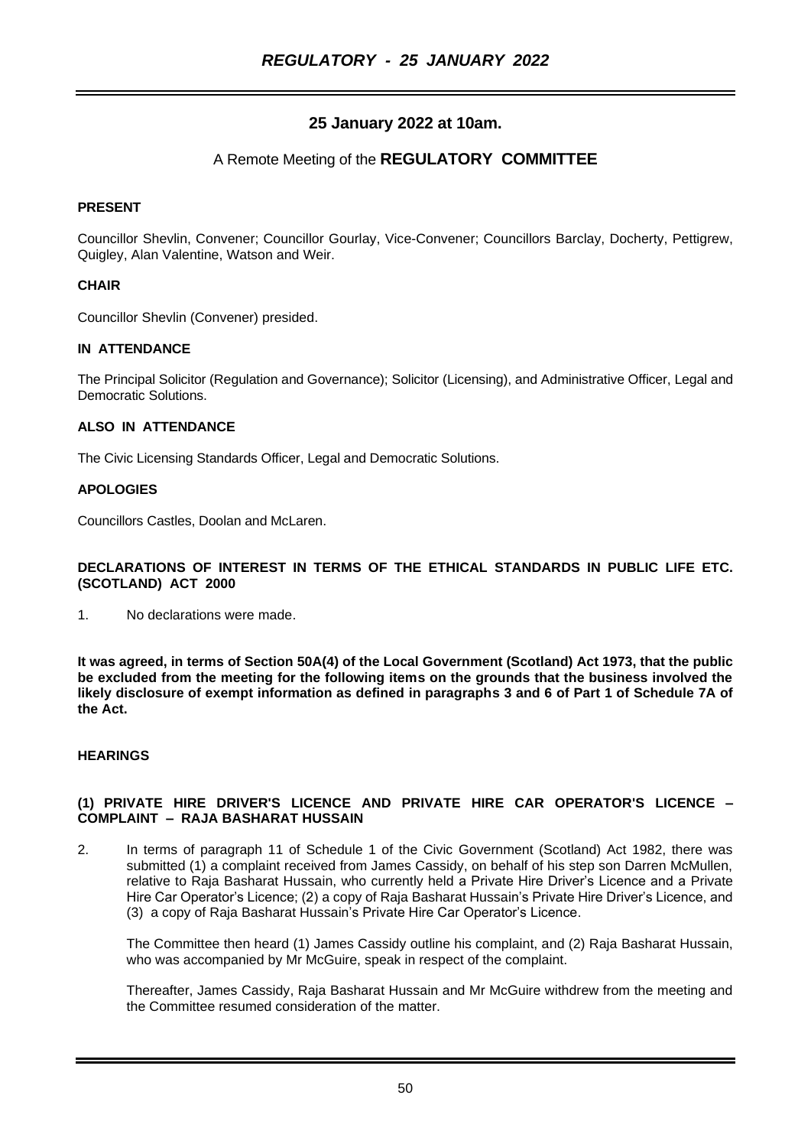# **25 January 2022 at 10am.**

# A Remote Meeting of the **REGULATORY COMMITTEE**

### **PRESENT**

Councillor Shevlin, Convener; Councillor Gourlay, Vice-Convener; Councillors Barclay, Docherty, Pettigrew, Quigley, Alan Valentine, Watson and Weir.

#### **CHAIR**

Councillor Shevlin (Convener) presided.

# **IN ATTENDANCE**

The Principal Solicitor (Regulation and Governance); Solicitor (Licensing), and Administrative Officer, Legal and Democratic Solutions.

#### **ALSO IN ATTENDANCE**

The Civic Licensing Standards Officer, Legal and Democratic Solutions.

#### **APOLOGIES**

Councillors Castles, Doolan and McLaren.

#### **DECLARATIONS OF INTEREST IN TERMS OF THE ETHICAL STANDARDS IN PUBLIC LIFE ETC. (SCOTLAND) ACT 2000**

1. No declarations were made.

**It was agreed, in terms of Section 50A(4) of the Local Government (Scotland) Act 1973, that the public be excluded from the meeting for the following items on the grounds that the business involved the likely disclosure of exempt information as defined in paragraphs 3 and 6 of Part 1 of Schedule 7A of the Act.**

#### **HEARINGS**

#### **(1) PRIVATE HIRE DRIVER'S LICENCE AND PRIVATE HIRE CAR OPERATOR'S LICENCE – COMPLAINT – RAJA BASHARAT HUSSAIN**

2. In terms of paragraph 11 of Schedule 1 of the Civic Government (Scotland) Act 1982, there was submitted (1) a complaint received from James Cassidy, on behalf of his step son Darren McMullen, relative to Raja Basharat Hussain, who currently held a Private Hire Driver's Licence and a Private Hire Car Operator's Licence; (2) a copy of Raja Basharat Hussain's Private Hire Driver's Licence, and (3) a copy of Raja Basharat Hussain's Private Hire Car Operator's Licence.

The Committee then heard (1) James Cassidy outline his complaint, and (2) Raja Basharat Hussain, who was accompanied by Mr McGuire, speak in respect of the complaint.

Thereafter, James Cassidy, Raja Basharat Hussain and Mr McGuire withdrew from the meeting and the Committee resumed consideration of the matter.